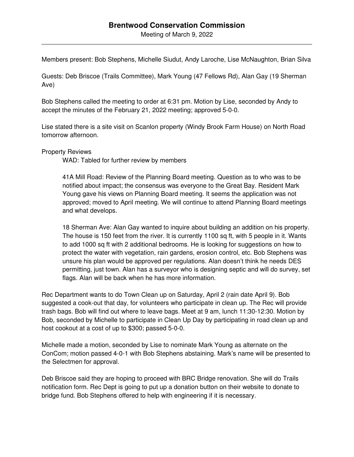Meeting of March 9, 2022

Members present: Bob Stephens, Michelle Siudut, Andy Laroche, Lise McNaughton, Brian Silva

Guests: Deb Briscoe (Trails Committee), Mark Young (47 Fellows Rd), Alan Gay (19 Sherman Ave)

Bob Stephens called the meeting to order at 6:31 pm. Motion by Lise, seconded by Andy to accept the minutes of the February 21, 2022 meeting; approved 5-0-0.

Lise stated there is a site visit on Scanlon property (Windy Brook Farm House) on North Road tomorrow afternoon.

Property Reviews

WAD: Tabled for further review by members

41A Mill Road: Review of the Planning Board meeting. Question as to who was to be notified about impact; the consensus was everyone to the Great Bay. Resident Mark Young gave his views on Planning Board meeting. It seems the application was not approved; moved to April meeting. We will continue to attend Planning Board meetings and what develops.

18 Sherman Ave: Alan Gay wanted to inquire about building an addition on his property. The house is 150 feet from the river. It is currently 1100 sq ft, with 5 people in it. Wants to add 1000 sq ft with 2 additional bedrooms. He is looking for suggestions on how to protect the water with vegetation, rain gardens, erosion control, etc. Bob Stephens was unsure his plan would be approved per regulations. Alan doesn't think he needs DES permitting, just town. Alan has a surveyor who is designing septic and will do survey, set flags. Alan will be back when he has more information.

Rec Department wants to do Town Clean up on Saturday, April 2 (rain date April 9). Bob suggested a cook-out that day, for volunteers who participate in clean up. The Rec will provide trash bags. Bob will find out where to leave bags. Meet at 9 am, lunch 11:30-12:30. Motion by Bob, seconded by Michelle to participate in Clean Up Day by participating in road clean up and host cookout at a cost of up to \$300; passed 5-0-0.

Michelle made a motion, seconded by Lise to nominate Mark Young as alternate on the ConCom; motion passed 4-0-1 with Bob Stephens abstaining. Mark's name will be presented to the Selectmen for approval.

Deb Briscoe said they are hoping to proceed with BRC Bridge renovation. She will do Trails notification form. Rec Dept is going to put up a donation button on their website to donate to bridge fund. Bob Stephens offered to help with engineering if it is necessary.